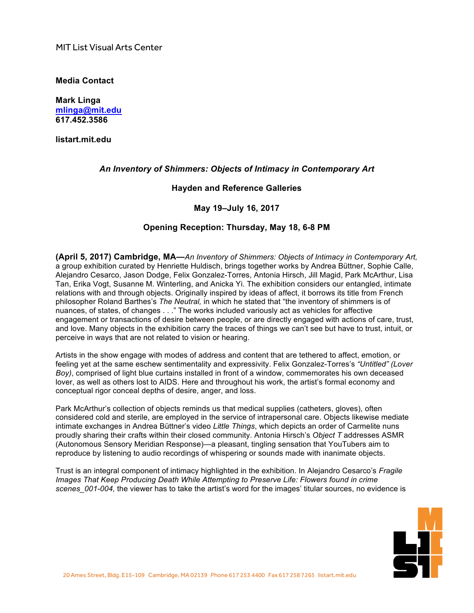MIT List Visual Arts Center

**Media Contact**

**Mark Linga [mlinga@mit.edu](mailto:mlinga@mit.edu) [617.452.3586](tel:6174523586)**

**<listart.mit.edu>**

## *An Inventory of Shimmers: Objects of Intimacy in Contemporary Art*

#### **Hayden and Reference Galleries**

# **May 19–July 16, 2017**

# **Opening Reception: Thursday, May 18, 6-8 PM**

**(April 5, 2017) Cambridge, MA—***An Inventory of Shimmers: Objects of Intimacy in Contemporary Art,* a group exhibition curated by Henriette Huldisch, brings together works by Andrea Büttner, Sophie Calle, Alejandro Cesarco, Jason Dodge, Felix Gonzalez-Torres, Antonia Hirsch, Jill Magid, Park McArthur, Lisa Tan, Erika Vogt, Susanne M. Winterling, and Anicka Yi. The exhibition considers our entangled, intimate relations with and through objects. Originally inspired by ideas of affect, it borrows its title from French philosopher Roland Barthes's *The Neutral,* in which he stated that "the inventory of shimmers is of nuances, of states, of changes . . ." The works included variously act as vehicles for affective engagement or transactions of desire between people, or are directly engaged with actions of care, trust, and love. Many objects in the exhibition carry the traces of things we can't see but have to trust, intuit, or perceive in ways that are not related to vision or hearing.

Artists in the show engage with modes of address and content that are tethered to affect, emotion, or feeling yet at the same eschew sentimentality and expressivity. Felix Gonzalez-Torres's *"Untitled" (Lover Boy)*, comprised of light blue curtains installed in front of a window, commemorates his own deceased lover, as well as others lost to AIDS. Here and throughout his work, the artist's formal economy and conceptual rigor conceal depths of desire, anger, and loss.

Park McArthur's collection of objects reminds us that medical supplies (catheters, gloves), often considered cold and sterile, are employed in the service of intrapersonal care. Objects likewise mediate intimate exchanges in Andrea Büttner's video *Little Things*, which depicts an order of Carmelite nuns proudly sharing their crafts within their closed community. Antonia Hirsch's *Object T* addresses ASMR (Autonomous Sensory Meridian Response)—a pleasant, tingling sensation that YouTubers aim to reproduce by listening to audio recordings of whispering or sounds made with inanimate objects.

Trust is an integral component of intimacy highlighted in the exhibition. In Alejandro Cesarco's *Fragile Images That Keep Producing Death While Attempting to Preserve Life: Flowers found in crime scenes\_001-004,* the viewer has to take the artist's word for the images' titular sources, no evidence is

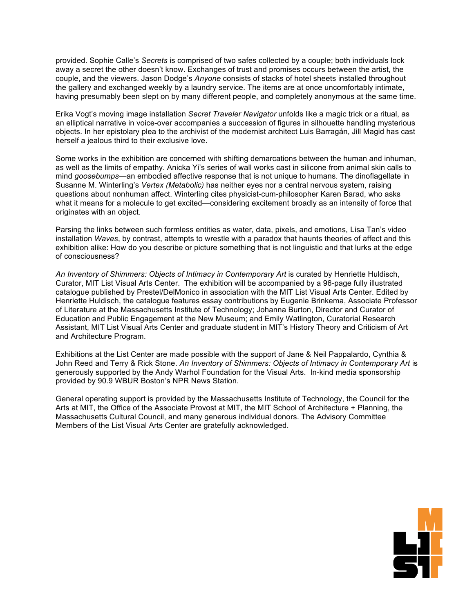provided. Sophie Calle's *Secrets* is comprised of two safes collected by a couple; both individuals lock away a secret the other doesn't know. Exchanges of trust and promises occurs between the artist, the couple, and the viewers. Jason Dodge's *Anyone* consists of stacks of hotel sheets installed throughout the gallery and exchanged weekly by a laundry service. The items are at once uncomfortably intimate, having presumably been slept on by many different people, and completely anonymous at the same time.

Erika Vogt's moving image installation *Secret Traveler Navigator* unfolds like a magic trick or a ritual, as an elliptical narrative in voice-over accompanies a succession of figures in silhouette handling mysterious objects. In her epistolary plea to the archivist of the modernist architect Luis Barragán, Jill Magid has cast herself a jealous third to their exclusive love.

Some works in the exhibition are concerned with shifting demarcations between the human and inhuman, as well as the limits of empathy. Anicka Yi's series of wall works cast in silicone from animal skin calls to mind *goosebumps*—an embodied affective response that is not unique to humans. The dinoflagellate in Susanne M. Winterling's *Vertex (Metabolic)* has neither eyes nor a central nervous system, raising questions about nonhuman affect. Winterling cites physicist-cum-philosopher Karen Barad, who asks what it means for a molecule to get excited—considering excitement broadly as an intensity of force that originates with an object.

Parsing the links between such formless entities as water, data, pixels, and emotions, Lisa Tan's video installation *Waves*, by contrast, attempts to wrestle with a paradox that haunts theories of affect and this exhibition alike: How do you describe or picture something that is not linguistic and that lurks at the edge of consciousness?

*An Inventory of Shimmers: Objects of Intimacy in Contemporary Art* is curated by Henriette Huldisch, Curator, MIT List Visual Arts Center. The exhibition will be accompanied by a 96-page fully illustrated catalogue published by Prestel/DelMonico in association with the MIT List Visual Arts Center. Edited by Henriette Huldisch, the catalogue features essay contributions by Eugenie Brinkema, Associate Professor of Literature at the Massachusetts Institute of Technology; Johanna Burton, Director and Curator of Education and Public Engagement at the New Museum; and Emily Watlington, Curatorial Research Assistant, MIT List Visual Arts Center and graduate student in MIT's History Theory and Criticism of Art and Architecture Program.

Exhibitions at the List Center are made possible with the support of Jane & Neil Pappalardo, Cynthia & John Reed and Terry & Rick Stone. *An Inventory of Shimmers: Objects of Intimacy in Contemporary Art* is generously supported by the Andy Warhol Foundation for the Visual Arts. In-kind media sponsorship provided by 90.9 WBUR Boston's NPR News Station.

General operating support is provided by the Massachusetts Institute of Technology, the Council for the Arts at MIT, the Office of the Associate Provost at MIT, the MIT School of Architecture + Planning, the Massachusetts Cultural Council, and many generous individual donors. The Advisory Committee Members of the List Visual Arts Center are gratefully acknowledged.

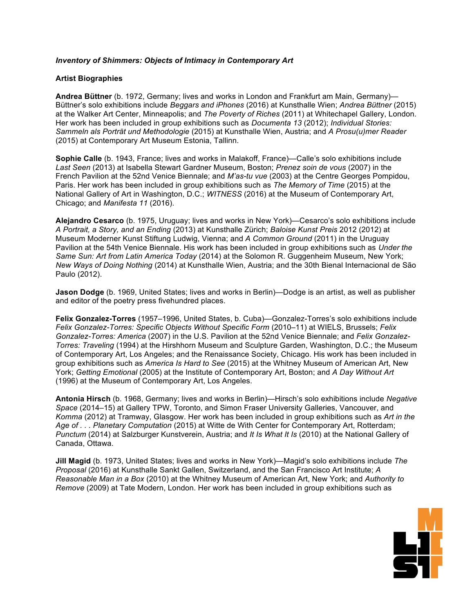## *Inventory of Shimmers: Objects of Intimacy in Contemporary Art*

## **Artist Biographies**

**Andrea Büttner** (b. 1972, Germany; lives and works in London and Frankfurt am Main, Germany)— Büttner's solo exhibitions include *Beggars and iPhones* (2016) at Kunsthalle Wien; *Andrea Büttner* (2015) at the Walker Art Center, Minneapolis; and *The Poverty of Riches* (2011) at Whitechapel Gallery, London. Her work has been included in group exhibitions such as *Documenta 13* (2012); *Individual Stories: Sammeln als Porträt und Methodologie* (2015) at Kunsthalle Wien, Austria; and *A Prosu(u)mer Reader* (2015) at Contemporary Art Museum Estonia, Tallinn.

**Sophie Calle** (b. 1943, France; lives and works in Malakoff, France)—Calle's solo exhibitions include *Last Seen* (2013) at Isabella Stewart Gardner Museum, Boston; *Prenez soin de vous* (2007) in the French Pavilion at the 52nd Venice Biennale; and *M'as-tu vue* (2003) at the Centre Georges Pompidou, Paris. Her work has been included in group exhibitions such as *The Memory of Time* (2015) at the National Gallery of Art in Washington, D.C.; *WITNESS* (2016) at the Museum of Contemporary Art, Chicago; and *Manifesta 11* (2016).

**Alejandro Cesarco** (b. 1975, Uruguay; lives and works in New York)—Cesarco's solo exhibitions include *A Portrait, a Story, and an Ending* (2013) at Kunsthalle Zürich; *Baloise Kunst Preis* 2012 (2012) at Museum Moderner Kunst Stiftung Ludwig, Vienna; and *A Common Ground* (2011) in the Uruguay Pavilion at the 54th Venice Biennale. His work has been included in group exhibitions such as *Under the Same Sun: Art from Latin America Today* (2014) at the Solomon R. Guggenheim Museum, New York; *New Ways of Doing Nothing* (2014) at Kunsthalle Wien, Austria; and the 30th Bienal Internacional de São Paulo (2012).

**Jason Dodge** (b. 1969, United States; lives and works in Berlin)—Dodge is an artist, as well as publisher and editor of the poetry press fivehundred places.

**Felix Gonzalez-Torres** (1957–1996, United States, b. Cuba)—Gonzalez-Torres's solo exhibitions include *Felix Gonzalez-Torres: Specific Objects Without Specific Form* (2010–11) at WIELS, Brussels; *Felix Gonzalez-Torres: America* (2007) in the U.S. Pavilion at the 52nd Venice Biennale; and *Felix Gonzalez-Torres: Traveling* (1994) at the Hirshhorn Museum and Sculpture Garden, Washington, D.C.; the Museum of Contemporary Art, Los Angeles; and the Renaissance Society, Chicago. His work has been included in group exhibitions such as *America Is Hard to See* (2015) at the Whitney Museum of American Art, New York; *Getting Emotional* (2005) at the Institute of Contemporary Art, Boston; and *A Day Without Art* (1996) at the Museum of Contemporary Art, Los Angeles.

**Antonia Hirsch** (b. 1968, Germany; lives and works in Berlin)—Hirsch's solo exhibitions include *Negative Space* (2014–15) at Gallery TPW, Toronto, and Simon Fraser University Galleries, Vancouver, and *Komma* (2012) at Tramway, Glasgow. Her work has been included in group exhibitions such as *Art in the Age of . . . Planetary Computation* (2015) at Witte de With Center for Contemporary Art, Rotterdam; *Punctum* (2014) at Salzburger Kunstverein, Austria; and *It Is What It Is* (2010) at the National Gallery of Canada, Ottawa.

**Jill Magid** (b. 1973, United States; lives and works in New York)—Magid's solo exhibitions include *The Proposal* (2016) at Kunsthalle Sankt Gallen, Switzerland, and the San Francisco Art Institute; *A*  Reasonable Man in a Box (2010) at the Whitney Museum of American Art, New York; and Authority to Remove (2009) at Tate Modern, London. Her work has been included in group exhibitions such as